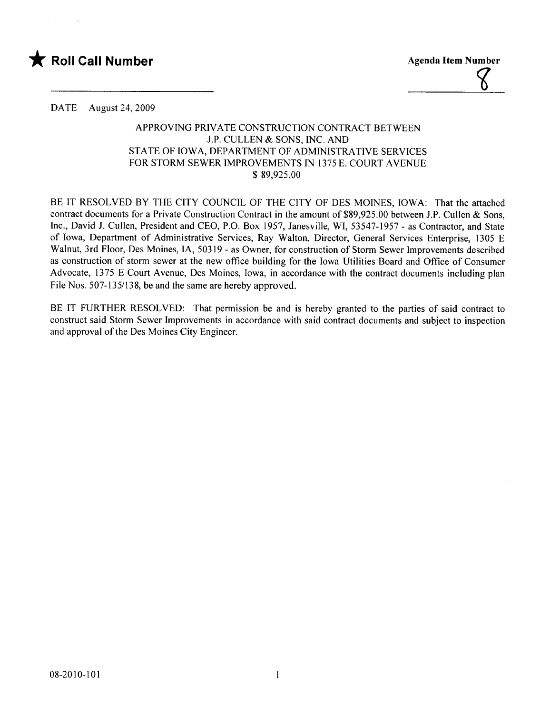



DATE August 24, 2009

## APPROVING PRIVATE CONSTRUCTION CONTRACT BETWEEN J.P. CULLEN & SONS, INC. AND STATE OF IOWA, DEPARTMENT OF ADMINISTRATIVE SERVICES FOR STORM SEWER IMPROVEMENTS IN 1375 E. COURT AVENUE \$ 89,925.00

BE IT RESOLVED BY THE CITY COUNCIL OF THE CITY OF DES MOINES, IOWA: That the attached contract documents for a Private Construction Contract in the amount of \$89,925.00 between J.P. Cullen & Sons, Inc., David J. Cullen, President and CEO, P.O. Box 1957, Janesvile, WI, 53547-1957 - as Contractor, and State of Iowa, Department of Administrative Services, Ray Walton, Director, General Services Enterprise, 1305 E Walnut, 3rd Floor, Des Moines, lA, 50319 - as Owner, for construction of Storm Sewer Improvements described as construction of storm sewer at the new office building for the Iowa Utilities Board and Office of Consumer Advocate, 1375 E Court Avenue, Des Moines, Iowa, in accordance with the contract documents including plan File Nos. 507-135/138, be and the same are hereby approved.

BE IT FURTHER RESOLVED: That permission be and is hereby granted to the parties of said contract to construct said Storm Sewer Improvements in accordance with said contract documents and subject to inspection and approval of the Des Moines City Engineer.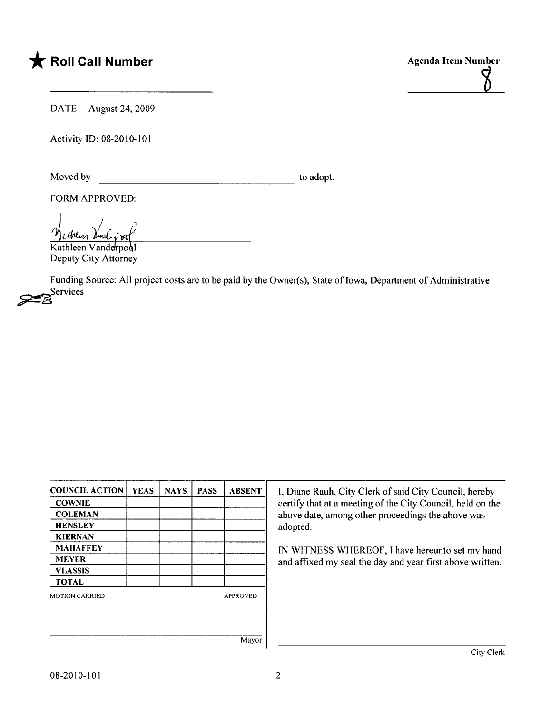## \* Roll Call Number Agenda Item Number



DATE August 24, 2009

Activity 10: 08-2010-101

Moved by to adopt.

FORM APPROVED:

Kathleen Vanderpool Deputy City Attorney

Funding Source: All project costs are to be paid by the Owner(s), State of Iowa, Department of Administrative Services

| <b>COUNCIL ACTION</b> | <b>YEAS</b> | <b>NAYS</b> | <b>PASS</b> | <b>ABSENT</b>   |
|-----------------------|-------------|-------------|-------------|-----------------|
| <b>COWNIE</b>         |             |             |             |                 |
| <b>COLEMAN</b>        |             |             |             |                 |
| <b>HENSLEY</b>        |             |             |             |                 |
| <b>KIERNAN</b>        |             |             |             |                 |
| <b>MAHAFFEY</b>       |             |             |             |                 |
| <b>MEYER</b>          |             |             |             |                 |
| <b>VLASSIS</b>        |             |             |             |                 |
| <b>TOTAL</b>          |             |             |             |                 |
| <b>MOTION CARRIED</b> |             |             |             | <b>APPROVED</b> |
|                       |             |             |             |                 |
|                       |             |             |             |                 |
|                       |             |             |             | Mayor           |

I, Diane Rauh, City Clerk of said City Council, hereby certify that at a meeting of the City Council, held on the above date, among other proceedings the above was adopted.

IN WITNESS WHEREOF, I have hereunto set my hand and affixed my seal the day and year first above written.

Mayor